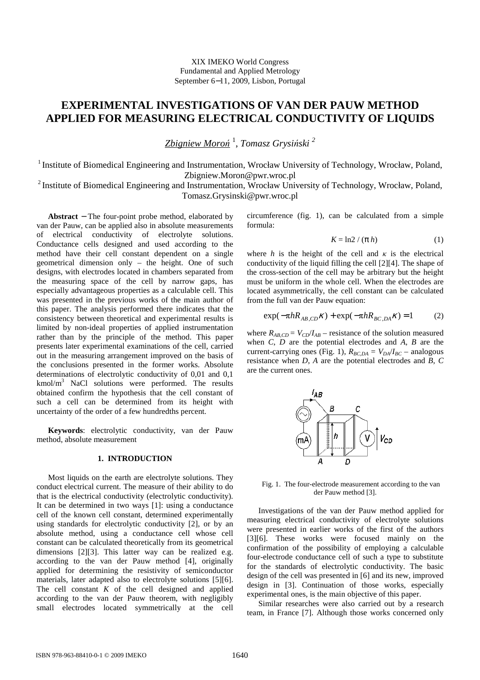# **EXPERIMENTAL INVESTIGATIONS OF VAN DER PAUW METHOD APPLIED FOR MEASURING ELECTRICAL CONDUCTIVITY OF LIQUIDS**

*Zbigniew Moro*ń 1 , *Tomasz Grysi*ń*ski <sup>2</sup>* 

<sup>1</sup> Institute of Biomedical Engineering and Instrumentation, Wrocław University of Technology, Wrocław, Poland, Zbigniew.Moron@pwr.wroc.pl

<sup>2</sup> Institute of Biomedical Engineering and Instrumentation, Wrocław University of Technology, Wrocław, Poland, Tomasz.Grysinski@pwr.wroc.pl

**Abstract** − The four-point probe method, elaborated by van der Pauw, can be applied also in absolute measurements of electrical conductivity of electrolyte solutions. Conductance cells designed and used according to the method have their cell constant dependent on a single geometrical dimension only – the height. One of such designs, with electrodes located in chambers separated from the measuring space of the cell by narrow gaps, has especially advantageous properties as a calculable cell. This was presented in the previous works of the main author of this paper. The analysis performed there indicates that the consistency between theoretical and experimental results is limited by non-ideal properties of applied instrumentation rather than by the principle of the method. This paper presents later experimental examinations of the cell, carried out in the measuring arrangement improved on the basis of the conclusions presented in the former works. Absolute determinations of electrolytic conductivity of 0,01 and 0,1 kmol/m<sup>3</sup> NaCl solutions were performed. The results obtained confirm the hypothesis that the cell constant of such a cell can be determined from its height with uncertainty of the order of a few hundredths percent.

**Keywords**: electrolytic conductivity, van der Pauw method, absolute measurement

## **1. INTRODUCTION**

Most liquids on the earth are electrolyte solutions. They conduct electrical current. The measure of their ability to do that is the electrical conductivity (electrolytic conductivity). It can be determined in two ways [1]: using a conductance cell of the known cell constant, determined experimentally using standards for electrolytic conductivity [2], or by an absolute method, using a conductance cell whose cell constant can be calculated theoretically from its geometrical dimensions [2][3]. This latter way can be realized e.g. according to the van der Pauw method [4], originally applied for determining the resistivity of semiconductor materials, later adapted also to electrolyte solutions [5][6]. The cell constant *K* of the cell designed and applied according to the van der Pauw theorem, with negligibly small electrodes located symmetrically at the cell

circumference (fig. 1), can be calculated from a simple formula:

$$
K = \ln 2 / (\pi h) \tag{1}
$$

where *h* is the height of the cell and  $\kappa$  is the electrical conductivity of the liquid filling the cell [2][4]. The shape of the cross-section of the cell may be arbitrary but the height must be uniform in the whole cell. When the electrodes are located asymmetrically, the cell constant can be calculated from the full van der Pauw equation:

$$
\exp(-\pi h R_{AB,CD} \kappa) + \exp(-\pi h R_{BC,DA} \kappa) = 1
$$
 (2)

where  $R_{ABCD} = V_{CD}/I_{AB}$  – resistance of the solution measured when *C*, *D* are the potential electrodes and *A*, *B* are the current-carrying ones (Fig. 1),  $R_{BC,DA} = V_{DA}/I_{BC}$  – analogous resistance when *D*, *A* are the potential electrodes and *B*, *C* are the current ones.



Fig. 1. The four-electrode measurement according to the van der Pauw method [3].

Investigations of the van der Pauw method applied for measuring electrical conductivity of electrolyte solutions were presented in earlier works of the first of the authors [3][6]. These works were focused mainly on the confirmation of the possibility of employing a calculable four-electrode conductance cell of such a type to substitute for the standards of electrolytic conductivity. The basic design of the cell was presented in [6] and its new, improved design in [3]. Continuation of those works, especially experimental ones, is the main objective of this paper.

Similar researches were also carried out by a research team, in France [7]. Although those works concerned only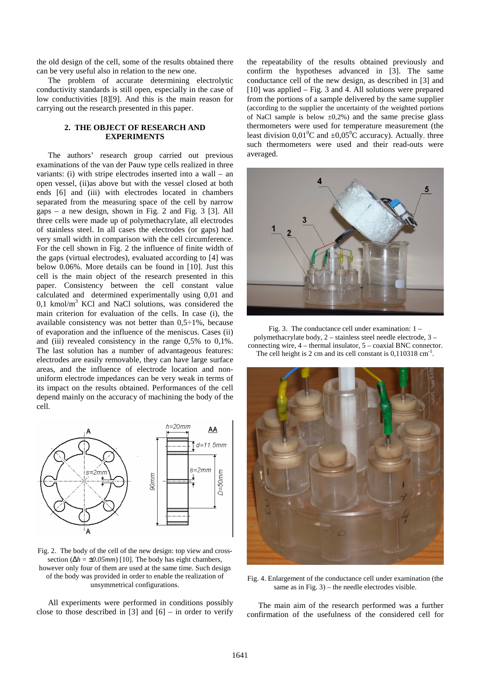the old design of the cell, some of the results obtained there can be very useful also in relation to the new one.

The problem of accurate determining electrolytic conductivity standards is still open, especially in the case of low conductivities [8][9]. And this is the main reason for carrying out the research presented in this paper.

# **2. THE OBJECT OF RESEARCH AND EXPERIMENTS**

The authors' research group carried out previous examinations of the van der Pauw type cells realized in three variants: (i) with stripe electrodes inserted into a wall – an open vessel, (ii)as above but with the vessel closed at both ends [6] and (iii) with electrodes located in chambers separated from the measuring space of the cell by narrow gaps – a new design, shown in Fig. 2 and Fig. 3 [3]. All three cells were made up of polymethacrylate, all electrodes of stainless steel. In all cases the electrodes (or gaps) had very small width in comparison with the cell circumference. For the cell shown in Fig. 2 the influence of finite width of the gaps (virtual electrodes), evaluated according to [4] was below 0.06%. More details can be found in [10]. Just this cell is the main object of the research presented in this paper. Consistency between the cell constant value calculated and determined experimentally using 0,01 and 0,1 kmol/m<sup>3</sup> KCl and NaCl solutions, was considered the main criterion for evaluation of the cells. In case (i), the available consistency was not better than 0,5÷1%, because of evaporation and the influence of the meniscus. Cases (ii) and (iii) revealed consistency in the range 0,5% to 0,1%. The last solution has a number of advantageous features: electrodes are easily removable, they can have large surface areas, and the influence of electrode location and nonuniform electrode impedances can be very weak in terms of its impact on the results obtained. Performances of the cell depend mainly on the accuracy of machining the body of the cell.



Fig. 2. The body of the cell of the new design: top view and crosssection (Δ*h* = ±0.05mm) [10]. The body has eight chambers, however only four of them are used at the same time. Such design of the body was provided in order to enable the realization of unsymmetrical configurations.

All experiments were performed in conditions possibly close to those described in [3] and  $[6]$  – in order to verify

the repeatability of the results obtained previously and confirm the hypotheses advanced in [3]. The same conductance cell of the new design, as described in [3] and [10] was applied – Fig. 3 and 4. All solutions were prepared from the portions of a sample delivered by the same supplier (according to the supplier the uncertainty of the weighted portions of NaCl sample is below  $\pm 0.2\%$ ) and the same precise glass thermometers were used for temperature measurement (the least division  $0.01^{\circ}$ C and  $\pm 0.05^{\circ}$ C accuracy). Actually, three such thermometers were used and their read-outs were averaged.



Fig. 3. The conductance cell under examination: 1 – polymethacrylate body, 2 – stainless steel needle electrode, 3 – connecting wire, 4 – thermal insulator, 5 – coaxial BNC connector. The cell height is 2 cm and its cell constant is  $0,110318$  cm<sup>-1</sup>.



Fig. 4. Enlargement of the conductance cell under examination (the same as in Fig.  $3$ ) – the needle electrodes visible.

The main aim of the research performed was a further confirmation of the usefulness of the considered cell for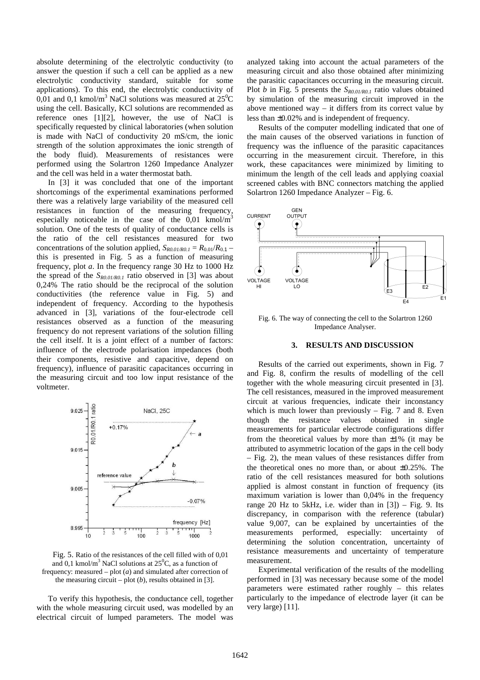absolute determining of the electrolytic conductivity (to answer the question if such a cell can be applied as a new electrolytic conductivity standard, suitable for some applications). To this end, the electrolytic conductivity of 0,01 and 0,1 kmol/m<sup>3</sup> NaCl solutions was measured at  $25^{\circ}$ C using the cell. Basically, KCl solutions are recommended as reference ones [1][2], however, the use of NaCl is specifically requested by clinical laboratories (when solution is made with NaCl of conductivity 20 mS/cm, the ionic strength of the solution approximates the ionic strength of the body fluid). Measurements of resistances were performed using the Solartron 1260 Impedance Analyzer and the cell was held in a water thermostat bath.

In [3] it was concluded that one of the important shortcomings of the experimental examinations performed there was a relatively large variability of the measured cell resistances in function of the measuring frequency, especially noticeable in the case of the  $0.01 \text{ kmol/m}^3$ solution. One of the tests of quality of conductance cells is the ratio of the cell resistances measured for two concentrations of the solution applied,  $S_{R0.01/R0.1} = R_{0.01}/R_{0.1}$ this is presented in Fig. 5 as a function of measuring frequency, plot *a*. In the frequency range 30 Hz to 1000 Hz the spread of the *SR0.01/R0.1* ratio observed in [3] was about 0,24% The ratio should be the reciprocal of the solution conductivities (the reference value in Fig. 5) and independent of frequency. According to the hypothesis advanced in [3], variations of the four-electrode cell resistances observed as a function of the measuring frequency do not represent variations of the solution filling the cell itself. It is a joint effect of a number of factors: influence of the electrode polarisation impedances (both their components, resistive and capacitive, depend on frequency), influence of parasitic capacitances occurring in the measuring circuit and too low input resistance of the voltmeter.



Fig. 5. Ratio of the resistances of the cell filled with of 0,01 and 0,1 kmol/m<sup>3</sup> NaCl solutions at  $25^{\circ}$ C, as a function of frequency: measured – plot (*a*) and simulated after correction of the measuring circuit – plot  $(b)$ , results obtained in [3].

To verify this hypothesis, the conductance cell, together with the whole measuring circuit used, was modelled by an electrical circuit of lumped parameters. The model was

analyzed taking into account the actual parameters of the measuring circuit and also those obtained after minimizing the parasitic capacitances occurring in the measuring circuit. Plot *b* in Fig. 5 presents the *SR0.01/R0.1* ratio values obtained by simulation of the measuring circuit improved in the above mentioned way  $-$  it differs from its correct value by less than ±0.02% and is independent of frequency.

Results of the computer modelling indicated that one of the main causes of the observed variations in function of frequency was the influence of the parasitic capacitances occurring in the measurement circuit. Therefore, in this work, these capacitances were minimized by limiting to minimum the length of the cell leads and applying coaxial screened cables with BNC connectors matching the applied Solartron 1260 Impedance Analyzer – Fig. 6.



Fig. 6. The way of connecting the cell to the Solartron 1260 Impedance Analyser.

#### **3. RESULTS AND DISCUSSION**

Results of the carried out experiments, shown in Fig. 7 and Fig. 8, confirm the results of modelling of the cell together with the whole measuring circuit presented in [3]. The cell resistances, measured in the improved measurement circuit at various frequencies, indicate their inconstancy which is much lower than previously  $-$  Fig. 7 and 8. Even though the resistance values obtained in single measurements for particular electrode configurations differ from the theoretical values by more than  $\pm 1\%$  (it may be attributed to asymmetric location of the gaps in the cell body – Fig. 2), the mean values of these resistances differ from the theoretical ones no more than, or about ±0.25%. The ratio of the cell resistances measured for both solutions applied is almost constant in function of frequency (its maximum variation is lower than 0,04% in the frequency range 20 Hz to 5kHz, i.e. wider than in  $[3]$ ) – Fig. 9. Its discrepancy, in comparison with the reference (tabular) value 9,007, can be explained by uncertainties of the measurements performed, especially: uncertainty of determining the solution concentration, uncertainty of resistance measurements and uncertainty of temperature measurement.

Experimental verification of the results of the modelling performed in [3] was necessary because some of the model parameters were estimated rather roughly – this relates particularly to the impedance of electrode layer (it can be very large) [11].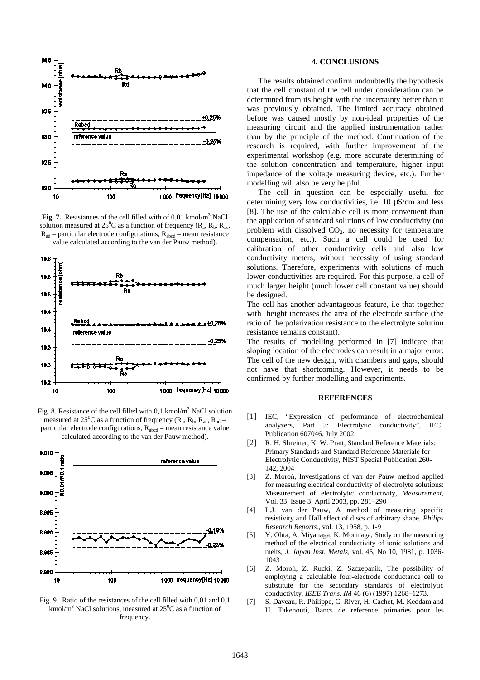

Fig. 7. Resistances of the cell filled with of 0,01 kmol/m<sup>3</sup> NaCl solution measured at 25<sup>°</sup>C as a function of frequency ( $R_a$ ,  $R_b$ ,  $R_{ac}$ ,  $R_{ad}$  – particular electrode configurations,  $R_{abcd}$  – mean resistance value calculated according to the van der Pauw method).



Fig. 8. Resistance of the cell filled with 0,1 kmol/m<sup>3</sup> NaCl solution measured at  $25^0C$  as a function of frequency ( $R_a$ ,  $R_b$ ,  $R_{ac}$ ,  $R_{ad}$  – particular electrode configurations,  $R_{abcd}$  – mean resistance value calculated according to the van der Pauw method).



Fig. 9.Ratio of the resistances of the cell filled with 0,01 and 0,1 kmol/m<sup>3</sup> NaCl solutions, measured at  $25^0C$  as a function of frequency.

## **4. CONCLUSIONS**

The results obtained confirm undoubtedly the hypothesis that the cell constant of the cell under consideration can be determined from its height with the uncertainty better than it was previously obtained. The limited accuracy obtained before was caused mostly by non-ideal properties of the measuring circuit and the applied instrumentation rather than by the principle of the method. Continuation of the research is required, with further improvement of the experimental workshop (e.g. more accurate determining of the solution concentration and temperature, higher input impedance of the voltage measuring device, etc.). Further modelling will also be very helpful.

The cell in question can be especially useful for determining very low conductivities, i.e. 10 µS/cm and less [8]. The use of the calculable cell is more convenient than the application of standard solutions of low conductivity (no problem with dissolved  $CO<sub>2</sub>$ , no necessity for temperature compensation, etc.). Such a cell could be used for calibration of other conductivity cells and also low conductivity meters, without necessity of using standard solutions. Therefore, experiments with solutions of much lower conductivities are required. For this purpose, a cell of much larger height (much lower cell constant value) should be designed.

The cell has another advantageous feature, i.e that together with height increases the area of the electrode surface (the ratio of the polarization resistance to the electrolyte solution resistance remains constant).

The results of modelling performed in [7] indicate that sloping location of the electrodes can result in a major error. The cell of the new design, with chambers and gaps, should not have that shortcoming. However, it needs to be confirmed by further modelling and experiments.

## **REFERENCES**

- [1] IEC, "Expression of performance of electrochemical analyzers, Part 3: Electrolytic conductivity", IEC\_ Publication 607046, July 2002
- [2] R. H. Shreiner, K. W. Pratt, Standard Reference Materials: Primary Standards and Standard Reference Materiale for Electrolytic Conductivity, NIST Special Publication 260- 142, 2004
- [3] Z. Moroń, Investigations of van der Pauw method applied for measuring electrical conductivity of electrolyte solutions: Measurement of electrolytic conductivity, *Measurement*, Vol. 33, Issue 3, April 2003, pp. 281–290
- [4] L.J. van der Pauw, A method of measuring specific resistivity and Hall effect of discs of arbitrary shape, *Philips Research Reports.*, vol. 13, 1958, p. 1-9
- [5] Y. Ohta, A. Miyanaga, K. Morinaga, Study on the measuring method of the electrical conductivity of ionic solutions and melts, *J. Japan Inst. Metals*, vol. 45, No 10, 1981, p. 1036- 1043
- [6] Z. Moroń, Z. Rucki, Z. Szczepanik, The possibility of employing a calculable four-electrode conductance cell to substitute for the secondary standards of electrolytic conductivity, *IEEE Trans. IM* 46 (6) (1997) 1268–1273.
- [7] S. Daveau, R. Philippe, C. River, H. Cachet, M. Keddam and H. Takenouti, Bancs de reference primaries pour les